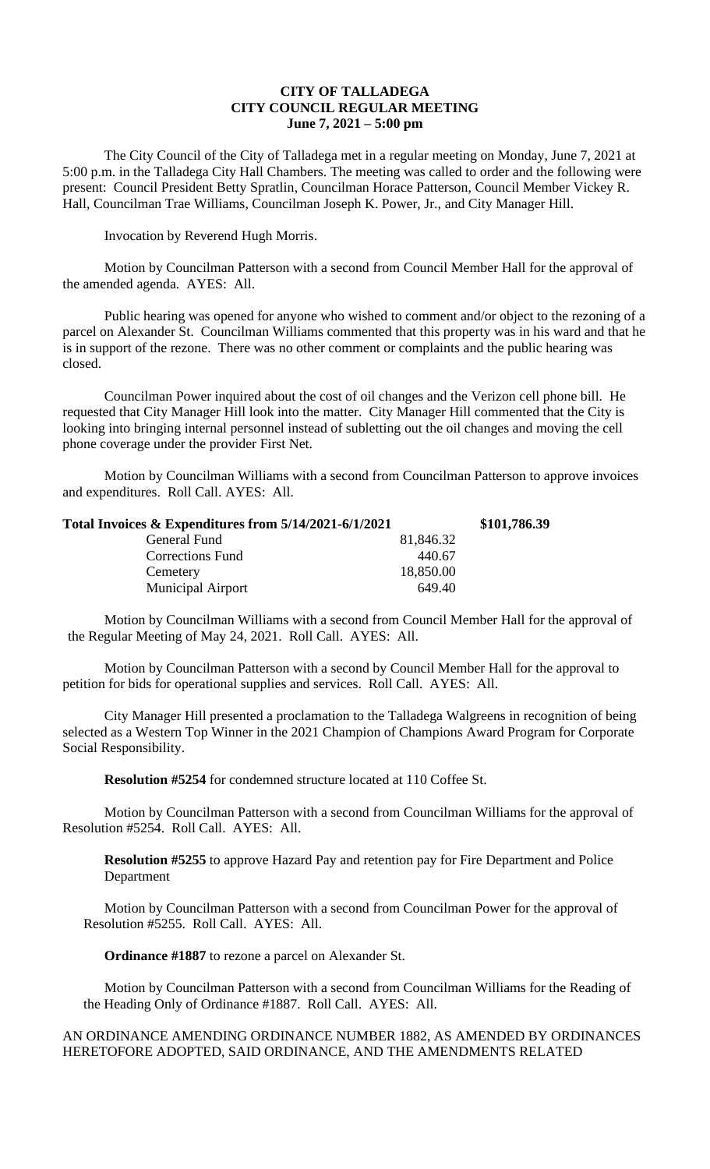## **CITY OF TALLADEGA CITY COUNCIL REGULAR MEETING June 7, 2021 – 5:00 pm**

The City Council of the City of Talladega met in a regular meeting on Monday, June 7, 2021 at 5:00 p.m. in the Talladega City Hall Chambers. The meeting was called to order and the following were present: Council President Betty Spratlin, Councilman Horace Patterson, Council Member Vickey R. Hall, Councilman Trae Williams, Councilman Joseph K. Power, Jr., and City Manager Hill.

Invocation by Reverend Hugh Morris.

Motion by Councilman Patterson with a second from Council Member Hall for the approval of the amended agenda. AYES: All.

Public hearing was opened for anyone who wished to comment and/or object to the rezoning of a parcel on Alexander St. Councilman Williams commented that this property was in his ward and that he is in support of the rezone. There was no other comment or complaints and the public hearing was closed.

Councilman Power inquired about the cost of oil changes and the Verizon cell phone bill. He requested that City Manager Hill look into the matter. City Manager Hill commented that the City is looking into bringing internal personnel instead of subletting out the oil changes and moving the cell phone coverage under the provider First Net.

Motion by Councilman Williams with a second from Councilman Patterson to approve invoices and expenditures. Roll Call. AYES: All.

| Total Invoices & Expenditures from 5/14/2021-6/1/2021 |           | \$101,786.39 |
|-------------------------------------------------------|-----------|--------------|
| General Fund                                          | 81,846.32 |              |
| <b>Corrections Fund</b>                               | 440.67    |              |
| Cemetery                                              | 18,850.00 |              |
| <b>Municipal Airport</b>                              | 649.40    |              |

Motion by Councilman Williams with a second from Council Member Hall for the approval of the Regular Meeting of May 24, 2021. Roll Call. AYES: All.

Motion by Councilman Patterson with a second by Council Member Hall for the approval to petition for bids for operational supplies and services. Roll Call. AYES: All.

City Manager Hill presented a proclamation to the Talladega Walgreens in recognition of being selected as a Western Top Winner in the 2021 Champion of Champions Award Program for Corporate Social Responsibility.

**Resolution #5254** for condemned structure located at 110 Coffee St.

Motion by Councilman Patterson with a second from Councilman Williams for the approval of Resolution #5254. Roll Call. AYES: All.

**Resolution #5255** to approve Hazard Pay and retention pay for Fire Department and Police Department

Motion by Councilman Patterson with a second from Councilman Power for the approval of Resolution #5255. Roll Call. AYES: All.

**Ordinance #1887** to rezone a parcel on Alexander St.

Motion by Councilman Patterson with a second from Councilman Williams for the Reading of the Heading Only of Ordinance #1887. Roll Call. AYES: All.

## AN ORDINANCE AMENDING ORDINANCE NUMBER 1882, AS AMENDED BY ORDINANCES HERETOFORE ADOPTED, SAID ORDINANCE, AND THE AMENDMENTS RELATED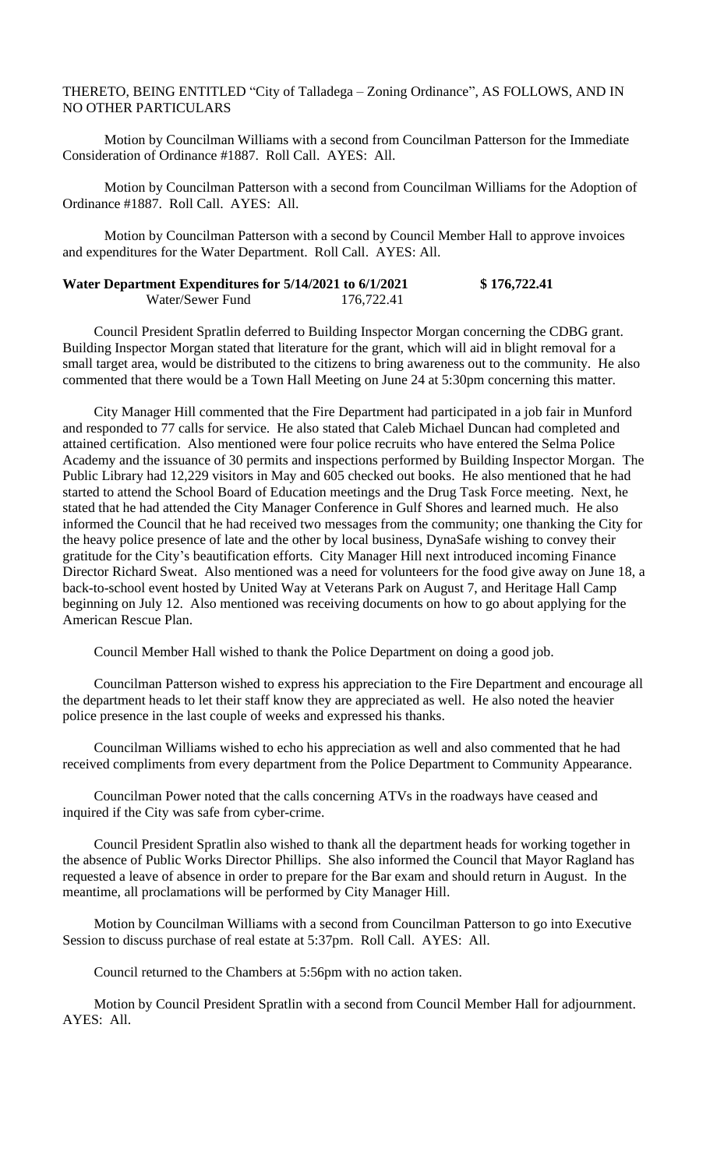THERETO, BEING ENTITLED "City of Talladega – Zoning Ordinance", AS FOLLOWS, AND IN NO OTHER PARTICULARS

Motion by Councilman Williams with a second from Councilman Patterson for the Immediate Consideration of Ordinance #1887. Roll Call. AYES: All.

Motion by Councilman Patterson with a second from Councilman Williams for the Adoption of Ordinance #1887. Roll Call. AYES: All.

Motion by Councilman Patterson with a second by Council Member Hall to approve invoices and expenditures for the Water Department. Roll Call. AYES: All.

| Water Department Expenditures for 5/14/2021 to 6/1/2021 |            | \$176,722.41 |
|---------------------------------------------------------|------------|--------------|
| Water/Sewer Fund                                        | 176,722.41 |              |

Council President Spratlin deferred to Building Inspector Morgan concerning the CDBG grant. Building Inspector Morgan stated that literature for the grant, which will aid in blight removal for a small target area, would be distributed to the citizens to bring awareness out to the community. He also commented that there would be a Town Hall Meeting on June 24 at 5:30pm concerning this matter.

City Manager Hill commented that the Fire Department had participated in a job fair in Munford and responded to 77 calls for service. He also stated that Caleb Michael Duncan had completed and attained certification. Also mentioned were four police recruits who have entered the Selma Police Academy and the issuance of 30 permits and inspections performed by Building Inspector Morgan. The Public Library had 12,229 visitors in May and 605 checked out books. He also mentioned that he had started to attend the School Board of Education meetings and the Drug Task Force meeting. Next, he stated that he had attended the City Manager Conference in Gulf Shores and learned much. He also informed the Council that he had received two messages from the community; one thanking the City for the heavy police presence of late and the other by local business, DynaSafe wishing to convey their gratitude for the City's beautification efforts. City Manager Hill next introduced incoming Finance Director Richard Sweat. Also mentioned was a need for volunteers for the food give away on June 18, a back-to-school event hosted by United Way at Veterans Park on August 7, and Heritage Hall Camp beginning on July 12. Also mentioned was receiving documents on how to go about applying for the American Rescue Plan.

Council Member Hall wished to thank the Police Department on doing a good job.

Councilman Patterson wished to express his appreciation to the Fire Department and encourage all the department heads to let their staff know they are appreciated as well. He also noted the heavier police presence in the last couple of weeks and expressed his thanks.

Councilman Williams wished to echo his appreciation as well and also commented that he had received compliments from every department from the Police Department to Community Appearance.

Councilman Power noted that the calls concerning ATVs in the roadways have ceased and inquired if the City was safe from cyber-crime.

Council President Spratlin also wished to thank all the department heads for working together in the absence of Public Works Director Phillips. She also informed the Council that Mayor Ragland has requested a leave of absence in order to prepare for the Bar exam and should return in August. In the meantime, all proclamations will be performed by City Manager Hill.

Motion by Councilman Williams with a second from Councilman Patterson to go into Executive Session to discuss purchase of real estate at 5:37pm. Roll Call. AYES: All.

Council returned to the Chambers at 5:56pm with no action taken.

Motion by Council President Spratlin with a second from Council Member Hall for adjournment. AYES: All.